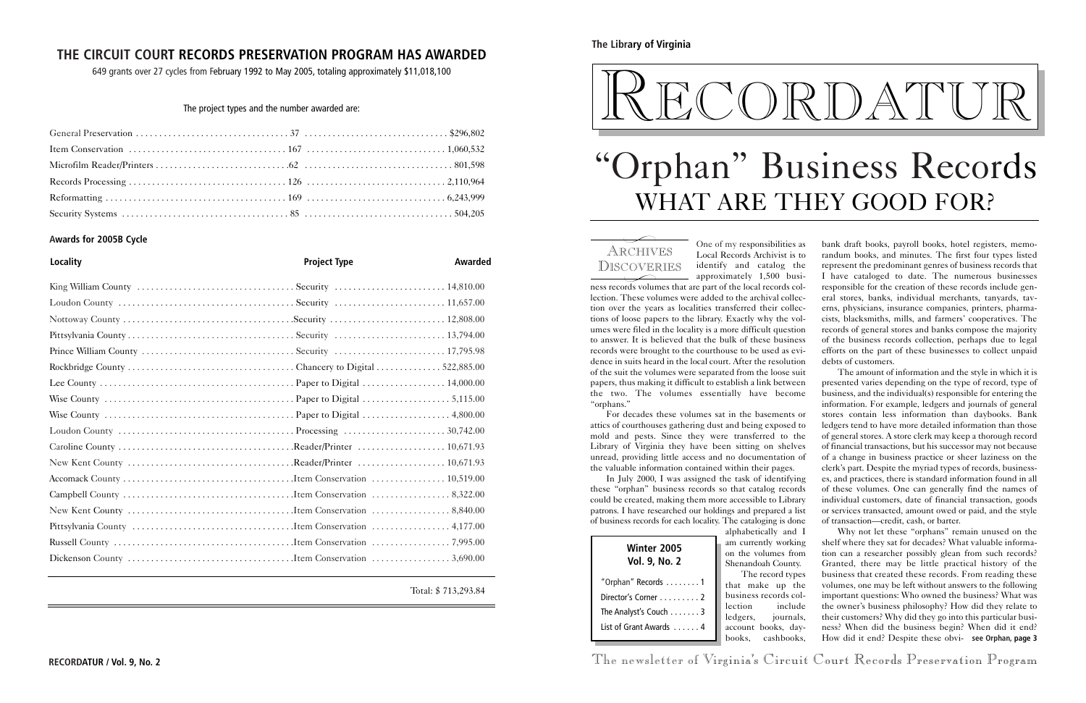papers, thus making it difficult to establish a link between the two. The volumes essentially have become "orphans." attics of courthouses gathering dust and being exposed to mold and pests. Since they were transferred to the Library of Virginia they have been sitting on shelves unread, providing little access and no documentation of the valuable information contained within their pages. these "orphan" business records so that catalog records could be created, making them more accessible to Library patrons. I have researched our holdings and prepared a list of business records for each locality. The cataloging is done alphabetically and I

For decades these volumes sat in the basements or In July 2000, I was assigned the task of identifying presented varies depending on the type of record, type of business, and the individual(s) responsible for entering the stores contain less information than daybooks. Bank ledgers tend to have more detailed information than those of general stores. A store clerk may keep a thorough record of financial transactions, but his successor may not because of a change in business practice or sheer laziness on the clerk's part. Despite the myriad types of records, businesses, and practices, there is standard information found in all of these volumes. One can generally find the names of individual customers, date of financial transaction, goods or services transacted, amount owed or paid, and the style of transaction—credit, cash, or barter.

> tly working lumes from ah County. ecord types the up the ecords colinclude journals, ooks, daybooks, cashbooks, Why not let these "orphans" remain unused on the shelf where they sat for decades? What valuable information can a researcher possibly glean from such records? Granted, there may be little practical history of the business that created these records. From reading these volumes, one may be left without answers to the following important questions: Who owned the business? What was the owner's business philosophy? How did they relate to their customers? Why did they go into this particular business? When did the business begin? When did it end? How did it end? Despite these obvi-**see Orphan, page 3**

**RECORDATUR / Vol. 9, No. 2** The newsletter of Virginia's Circuit Court Records Preservation Program



## **The Library of Virginia**

| <b>Winter 2005</b><br><b>Vol. 9, No. 2</b> | am current<br>on the vol-<br>Shenandoa          |
|--------------------------------------------|-------------------------------------------------|
| "Orphan" Records 1                         | The re<br>that make                             |
| Director's Corner 2                        | business re                                     |
| The Analyst's Couch $\dots \dots 3$        | lection<br>ledgers,                             |
| List of Grant Awards  4                    | account b<br>books,<br>$\overline{\phantom{a}}$ |

# "Orphan" Business Records WHAT ARE THEY GOOD FOR?

ARCHIVES

One of my responsibilities as Local Records Archivist is to identify and catalog the approximately 1,500 business records volumes that are part of the local records collection. These volumes were added to the archival collection over the years as localities transferred their collections of loose papers to the library. Exactly why the volumes were filed in the locality is a more difficult question to answer. It is believed that the bulk of these business records were brought to the courthouse to be used as evidence in suits heard in the local court. After the resolution of the suit the volumes were separated from the loose suit bank draft books, payroll books, hotel registers, memorandum books, and minutes. The first four types listed represent the predominant genres of business records that I have cataloged to date. The numerous businesses responsible for the creation of these records include general stores, banks, individual merchants, tanyards, taverns, physicians, insurance companies, printers, pharmacists, blacksmiths, mills, and farmers' cooperatives. The records of general stores and banks compose the majority of the business records collection, perhaps due to legal efforts on the part of these businesses to collect unpaid debts of customers. The amount of information and the style in which it is information. For example, ledgers and journals of general DISCOVERIES  $\overline{\phantom{0}}$  $\overbrace{\phantom{1}}^{1000}$ 

## **THE CIRCUIT COURT RECORDS PRESERVATION PROGRAM HAS AWARDED**

649 grants over 27 cycles from February 1992 to May 2005, totaling approximately \$11,018,100

### The project types and the number awarded are:

### **Awards for 2005B Cycle**

| <b>Locality</b> | <b>Project Type</b> | <b>Awarded</b> |
|-----------------|---------------------|----------------|
|                 |                     |                |
|                 |                     |                |
|                 |                     |                |
|                 |                     |                |
|                 |                     |                |
|                 |                     |                |
|                 |                     |                |
|                 |                     |                |
|                 |                     |                |
|                 |                     |                |
|                 |                     |                |
|                 |                     |                |
|                 |                     |                |
|                 |                     |                |
|                 |                     |                |
|                 |                     |                |
|                 |                     |                |
|                 |                     |                |

Total: \$ 713,293.84